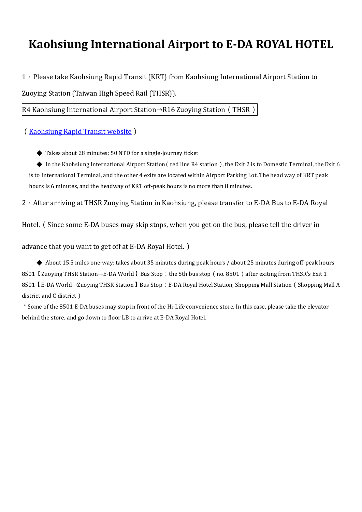## **Kaohsiung International Airport to E-DA ROYAL HOTEL**

1.Please take Kaohsiung Rapid Transit (KRT) from Kaohsiung International Airport Station to

Zuoying Station (Taiwan High Speed Rail (THSR)).

R4 Kaohsiung International Airport Station→R16 Zuoying Station(THSR)

([Kaohsiung Rapid Transit website](https://www.krtc.com.tw/eng/))

◆ Takes about 28 minutes; 50 NTD for a single-journey ticket

 $\blacklozenge$  In the Kaohsiung International Airport Station (red line R4 station), the Exit 2 is to Domestic Terminal, the Exit 6 is to International Terminal, and the other 4 exits are located within Airport Parking Lot. The head way of KRT peak hours is 6 minutes, and the headway of KRT off-peak hours is no more than 8 minutes.

2 · After arriving at THSR Zuoying Station in Kaohsiung, please transfer to E-DA Bus to E-DA Royal

Hotel.(Since some E-DA buses may skip stops, when you get on the bus, please tell the driver in

advance that you want to get off at E-DA Royal Hotel.)

◆ About 15.5 miles one-way; takes about 35 minutes during peak hours / about 25 minutes during off-peak hours 8501 【Zuoying THSR Station→E-DA World 】Bus Stop: the 5th bus stop (no. 8501) after exiting from THSR's Exit 1 8501【E-DA World→Zuoying THSR Station】Bus Stop:E-DA Royal Hotel Station, Shopping Mall Station(Shopping Mall A district and C district)

\*Some of the 8501 E-DA buses may stop in front of the Hi-Life convenience store. In this case, please take the elevator behind the store, and go down to floor LB to arrive at E-DA Royal Hotel.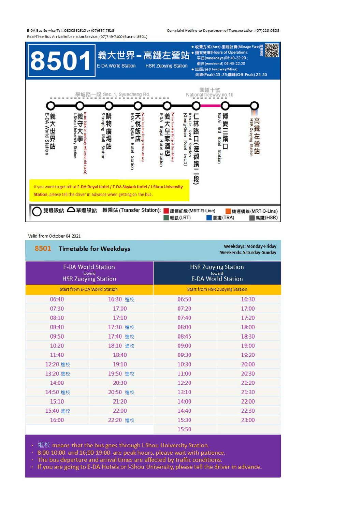E-DA Bus Service Tel.: 0800352520 or (07)657-7528 Real-Time Bus Arrival Information Service: (07)749-7100 (Busno. 8501) Complaint Hotline to Department of Transportation: (07)229-9803



## Valid from October 04 2021

| 8501 Timetable for Weekdays<br><b>E-DA World Station</b><br>toward<br><b>HSR Zuoying Station</b> |          | <b>Weekdays: Monday-Friday</b><br><b>Weekends: Saturday-Sunday</b><br><b>HSR Zuoying Station</b><br>toward<br><b>E-DA World Station</b> |       |
|--------------------------------------------------------------------------------------------------|----------|-----------------------------------------------------------------------------------------------------------------------------------------|-------|
|                                                                                                  |          |                                                                                                                                         |       |
| 06:40                                                                                            | 16:30 進校 | 06:50                                                                                                                                   | 16:30 |
| 07:30                                                                                            | 17:00    | 07:20                                                                                                                                   | 17:00 |
| 08:10                                                                                            | 17:10    | 07:40                                                                                                                                   | 17:20 |
| 08:40                                                                                            | 17:30 進校 | 08:00                                                                                                                                   | 18:00 |
| 09:50                                                                                            | 17:40 進校 | 08:45                                                                                                                                   | 18:30 |
| 10:20                                                                                            | 18:10 進校 | 09:00                                                                                                                                   | 19:00 |
| 11:40                                                                                            | 18:40    | 09:30                                                                                                                                   | 19:20 |
| 12:20 進校                                                                                         | 19:10    | 10:30                                                                                                                                   | 20:00 |
| 13:20 進校                                                                                         | 19:50 進校 | 11:00                                                                                                                                   | 20:30 |
| 14:00                                                                                            | 20:30    | 12:20                                                                                                                                   | 21:20 |
| 14:50 進校                                                                                         | 20:50 進校 | 13:10                                                                                                                                   | 21:30 |
| 15:10                                                                                            | 21:20    | 14:00                                                                                                                                   | 22:00 |
| 15:40 進校                                                                                         | 22:00    | 14:40                                                                                                                                   | 22:30 |
| 16:00                                                                                            | 22:20 進校 | 15:30                                                                                                                                   | 23:00 |
|                                                                                                  |          | 15:50                                                                                                                                   |       |

• 進校 means that the bus goes through I-Shou University Station.

. 8:00-10:00 and 16:00-19:00 are peak hours, please wait with patience.

- . The bus departure and arrival times are affected by traffic conditions.
- If you are going to E-DA Hotels or I-Shou University, please tell the driver in advance.